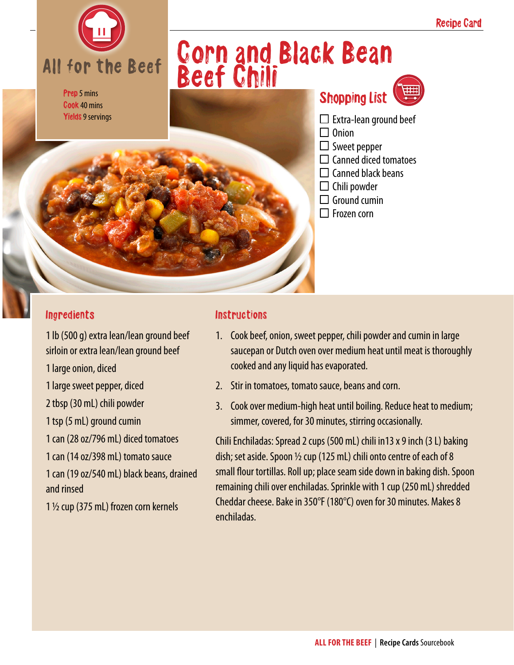

#### Prep 5 mins Cook 40 mins Yields 9 servings

## Corn and Black Bean Beef Chili



- $\square$  Extra-lean ground beef
- $\Box$  Onion
- $\Box$  Sweet pepper
- $\Box$  Canned diced tomatoes
- $\Box$  Canned black beans
- $\Box$  Chili powder
- $\Box$  Ground cumin
- $\Box$  Frozen corn

#### Ingredients

1 lb (500 g) extra lean/lean ground beef sirloin or extra lean/lean ground beef 1 large onion, diced 1 large sweet pepper, diced 2 tbsp (30 mL) chili powder 1 tsp (5 mL) ground cumin 1 can (28 oz/796 mL) diced tomatoes 1 can (14 oz/398 mL) tomato sauce

1 can (19 oz/540 mL) black beans, drained and rinsed

1 ½ cup (375 mL) frozen corn kernels

#### **Instructions**

- 1. Cook beef, onion, sweet pepper, chili powder and cumin in large saucepan or Dutch oven over medium heat until meat is thoroughly cooked and any liquid has evaporated.
- 2. Stir in tomatoes, tomato sauce, beans and corn.
- 3. Cook over medium-high heat until boiling. Reduce heat to medium; simmer, covered, for 30 minutes, stirring occasionally.

Chili Enchiladas: Spread 2 cups (500 mL) chili in13 x 9 inch (3 L) baking dish; set aside. Spoon  $\frac{1}{2}$  cup (125 mL) chili onto centre of each of 8 small flour tortillas. Roll up; place seam side down in baking dish. Spoon remaining chili over enchiladas. Sprinkle with 1 cup (250 mL) shredded Cheddar cheese. Bake in 350°F (180°C) oven for 30 minutes. Makes 8 enchiladas.